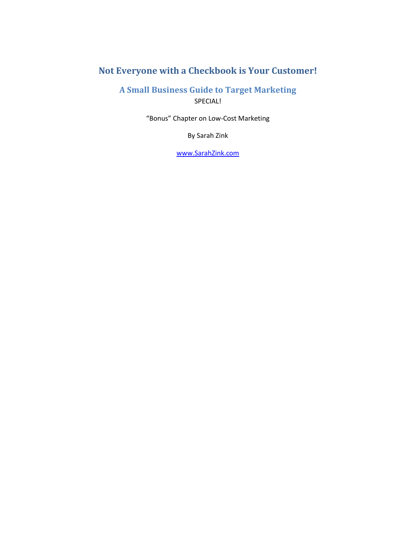# <span id="page-0-1"></span><span id="page-0-0"></span>**Not Everyone with a Checkbook is Your Customer!**

**A Small Business Guide to Target Marketing** SPECIAL!

"Bonus" Chapter on Low-Cost Marketing

By Sarah Zink

[www.SarahZink.com](http://www.sarahzink.com/)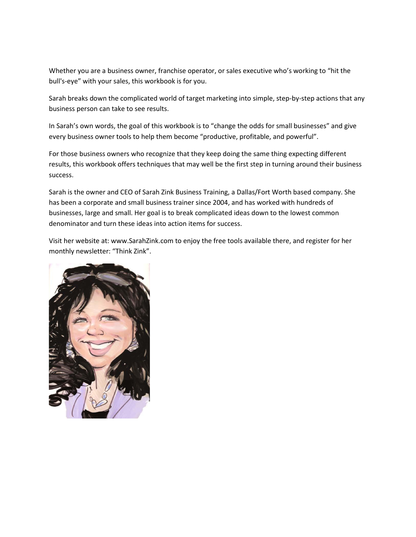Whether you are a business owner, franchise operator, or sales executive who's working to "hit the bull's-eye" with your sales, this workbook is for you.

Sarah breaks down the complicated world of target marketing into simple, step-by-step actions that any business person can take to see results.

In Sarah's own words, the goal of this workbook is to "change the odds for small businesses" and give every business owner tools to help them become "productive, profitable, and powerful".

For those business owners who recognize that they keep doing the same thing expecting different results, this workbook offers techniques that may well be the first step in turning around their business success.

Sarah is the owner and CEO of Sarah Zink Business Training, a Dallas/Fort Worth based company. She has been a corporate and small business trainer since 2004, and has worked with hundreds of businesses, large and small. Her goal is to break complicated ideas down to the lowest common denominator and turn these ideas into action items for success.

Visit her website at: www.SarahZink.com to enjoy the free tools available there, and register for her monthly newsletter: "Think Zink".

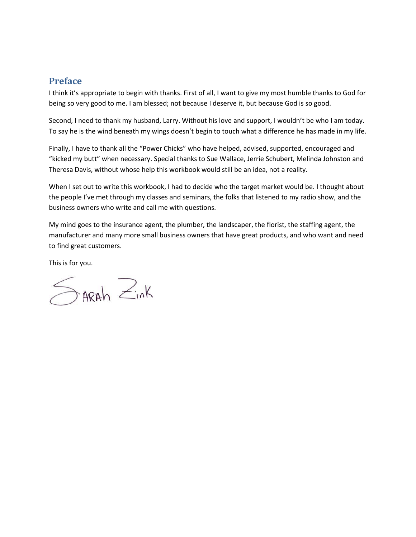# <span id="page-2-0"></span>**Preface**

I think it's appropriate to begin with thanks. First of all, I want to give my most humble thanks to God for being so very good to me. I am blessed; not because I deserve it, but because God is so good.

Second, I need to thank my husband, Larry. Without his love and support, I wouldn't be who I am today. To say he is the wind beneath my wings doesn't begin to touch what a difference he has made in my life.

Finally, I have to thank all the "Power Chicks" who have helped, advised, supported, encouraged and "kicked my butt" when necessary. Special thanks to Sue Wallace, Jerrie Schubert, Melinda Johnston and Theresa Davis, without whose help this workbook would still be an idea, not a reality.

When I set out to write this workbook, I had to decide who the target market would be. I thought about the people I've met through my classes and seminars, the folks that listened to my radio show, and the business owners who write and call me with questions.

My mind goes to the insurance agent, the plumber, the landscaper, the florist, the staffing agent, the manufacturer and many more small business owners that have great products, and who want and need to find great customers.

This is for you.

 $\leq$ ARAh  $\geq$ ink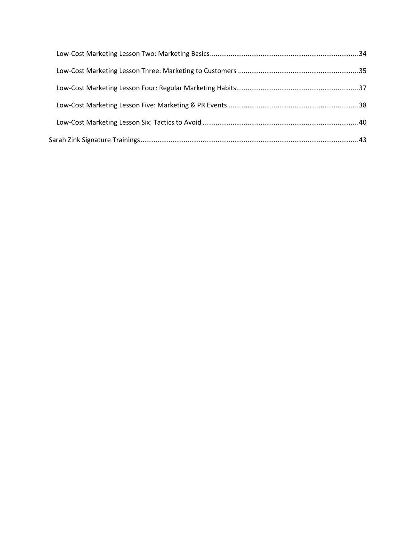<span id="page-4-0"></span>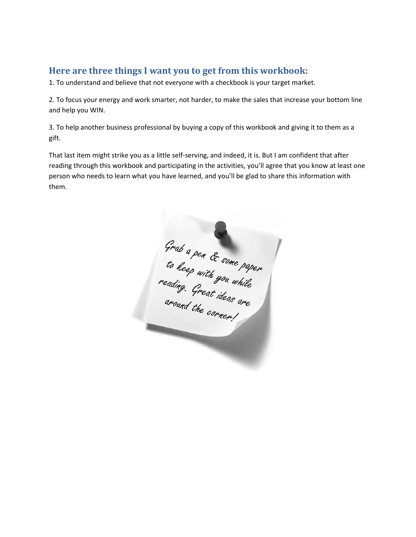# **Here are three things I want you to get from this workbook:**

1. To understand and believe that not everyone with a checkbook is your target market.

2. To focus your energy and work smarter, not harder, to make the sales that increase your bottom line and help you WIN.

3. To help another business professional by buying a copy of this workbook and giving it to them as a gift.

That last item might strike you as a little self-serving, and indeed, it is. But I am confident that after reading through this workbook and participating in the activities, you'll agree that you know at least one person who needs to learn what you have learned, and you'll be glad to share this information with them.

Grab a pen & some paper<br>to keep with you while<br>reading. Great ideas are<br>around the corner.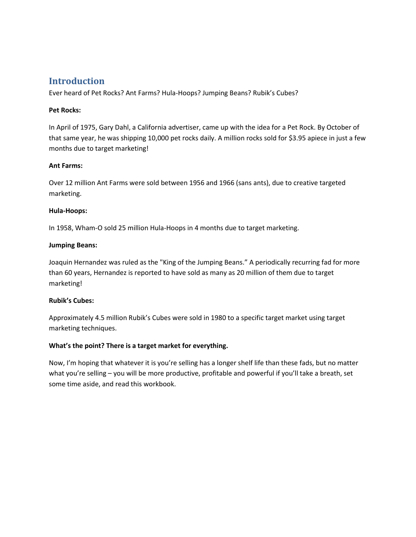# <span id="page-6-0"></span>**Introduction**

Ever heard of Pet Rocks? Ant Farms? Hula-Hoops? Jumping Beans? Rubik's Cubes?

### **Pet Rocks:**

In April of 1975, Gary Dahl, a California advertiser, came up with the idea for a Pet Rock. By October of that same year, he was shipping 10,000 pet rocks daily. A million rocks sold for \$3.95 apiece in just a few months due to target marketing!

### **Ant Farms:**

Over 12 million Ant Farms were sold between 1956 and 1966 (sans ants), due to creative targeted marketing.

### **Hula-Hoops:**

In 1958, Wham-O sold 25 million Hula-Hoops in 4 months due to target marketing.

### **Jumping Beans:**

Joaquin Hernandez was ruled as the "King of the Jumping Beans." A periodically recurring fad for more than 60 years, Hernandez is reported to have sold as many as 20 million of them due to target marketing!

#### **Rubik's Cubes:**

Approximately 4.5 million Rubik's Cubes were sold in 1980 to a specific target market using target marketing techniques.

## **What's the point? There is a target market for everything.**

Now, I'm hoping that whatever it is you're selling has a longer shelf life than these fads, but no matter what you're selling – you will be more productive, profitable and powerful if you'll take a breath, set some time aside, and read this workbook.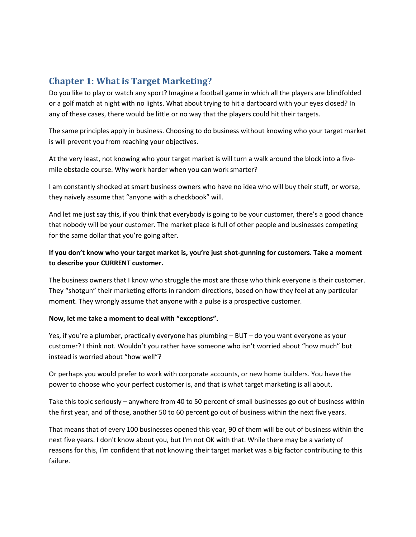# <span id="page-7-0"></span>**Chapter 1: What is Target Marketing?**

Do you like to play or watch any sport? Imagine a football game in which all the players are blindfolded or a golf match at night with no lights. What about trying to hit a dartboard with your eyes closed? In any of these cases, there would be little or no way that the players could hit their targets.

The same principles apply in business. Choosing to do business without knowing who your target market is will prevent you from reaching your objectives.

At the very least, not knowing who your target market is will turn a walk around the block into a fivemile obstacle course. Why work harder when you can work smarter?

I am constantly shocked at smart business owners who have no idea who will buy their stuff, or worse, they naively assume that "anyone with a checkbook" will.

And let me just say this, if you think that everybody is going to be your customer, there's a good chance that nobody will be your customer. The market place is full of other people and businesses competing for the same dollar that you're going after.

# **If you don't know who your target market is, you're just shot-gunning for customers. Take a moment to describe your CURRENT customer.**

The business owners that I know who struggle the most are those who think everyone is their customer. They "shotgun" their marketing efforts in random directions, based on how they feel at any particular moment. They wrongly assume that anyone with a pulse is a prospective customer.

## **Now, let me take a moment to deal with "exceptions".**

Yes, if you're a plumber, practically everyone has plumbing – BUT – do you want everyone as your customer? I think not. Wouldn't you rather have someone who isn't worried about "how much" but instead is worried about "how well"?

Or perhaps you would prefer to work with corporate accounts, or new home builders. You have the power to choose who your perfect customer is, and that is what target marketing is all about.

Take this topic seriously – anywhere from 40 to 50 percent of small businesses go out of business within the first year, and of those, another 50 to 60 percent go out of business within the next five years.

That means that of every 100 businesses opened this year, 90 of them will be out of business within the next five years. I don't know about you, but I'm not OK with that. While there may be a variety of reasons for this, I'm confident that not knowing their target market was a big factor contributing to this failure.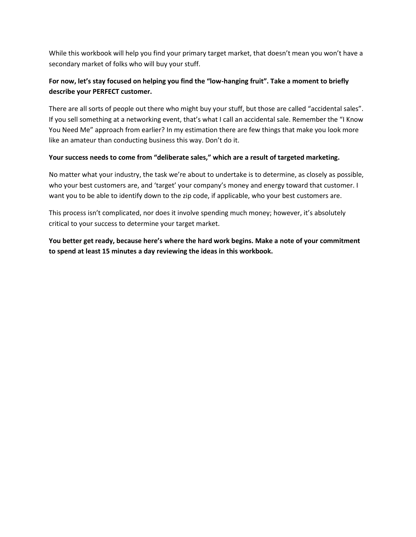While this workbook will help you find your primary target market, that doesn't mean you won't have a secondary market of folks who will buy your stuff.

# **For now, let's stay focused on helping you find the "low-hanging fruit". Take a moment to briefly describe your PERFECT customer.**

There are all sorts of people out there who might buy your stuff, but those are called "accidental sales". If you sell something at a networking event, that's what I call an accidental sale. Remember the "I Know You Need Me" approach from earlier? In my estimation there are few things that make you look more like an amateur than conducting business this way. Don't do it.

## **Your success needs to come from "deliberate sales," which are a result of targeted marketing.**

No matter what your industry, the task we're about to undertake is to determine, as closely as possible, who your best customers are, and 'target' your company's money and energy toward that customer. I want you to be able to identify down to the zip code, if applicable, who your best customers are.

This process isn't complicated, nor does it involve spending much money; however, it's absolutely critical to your success to determine your target market.

**You better get ready, because here's where the hard work begins. Make a note of your commitment to spend at least 15 minutes a day reviewing the ideas in this workbook.**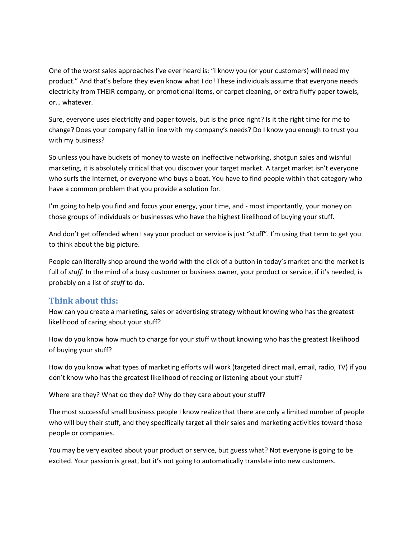One of the worst sales approaches I've ever heard is: "I know you (or your customers) will need my product." And that's before they even know what I do! These individuals assume that everyone needs electricity from THEIR company, or promotional items, or carpet cleaning, or extra fluffy paper towels, or… whatever.

Sure, everyone uses electricity and paper towels, but is the price right? Is it the right time for me to change? Does your company fall in line with my company's needs? Do I know you enough to trust you with my business?

So unless you have buckets of money to waste on ineffective networking, shotgun sales and wishful marketing, it is absolutely critical that you discover your target market. A target market isn't everyone who surfs the Internet, or everyone who buys a boat. You have to find people within that category who have a common problem that you provide a solution for.

I'm going to help you find and focus your energy, your time, and - most importantly, your money on those groups of individuals or businesses who have the highest likelihood of buying your stuff.

And don't get offended when I say your product or service is just "stuff". I'm using that term to get you to think about the big picture.

People can literally shop around the world with the click of a button in today's market and the market is full of *stuff*. In the mind of a busy customer or business owner, your product or service, if it's needed, is probably on a list of *stuff* to do.

## <span id="page-9-0"></span>**Think about this:**

How can you create a marketing, sales or advertising strategy without knowing who has the greatest likelihood of caring about your stuff?

How do you know how much to charge for your stuff without knowing who has the greatest likelihood of buying your stuff?

How do you know what types of marketing efforts will work (targeted direct mail, email, radio, TV) if you don't know who has the greatest likelihood of reading or listening about your stuff?

Where are they? What do they do? Why do they care about your stuff?

The most successful small business people I know realize that there are only a limited number of people who will buy their stuff, and they specifically target all their sales and marketing activities toward those people or companies.

You may be very excited about your product or service, but guess what? Not everyone is going to be excited. Your passion is great, but it's not going to automatically translate into new customers.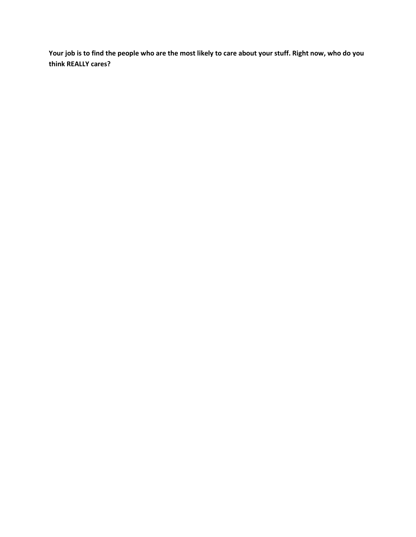**Your job is to find the people who are the most likely to care about your stuff. Right now, who do you think REALLY cares?**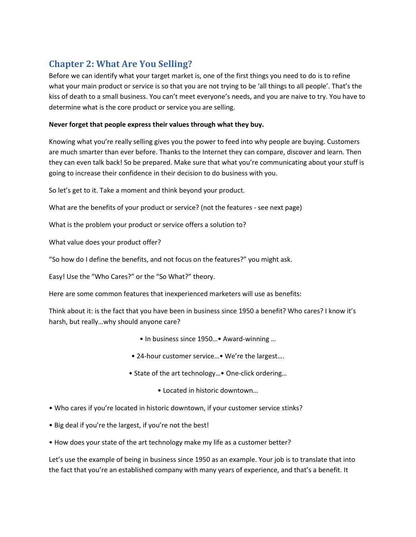# <span id="page-11-0"></span>**Chapter 2: What Are You Selling?**

Before we can identify what your target market is, one of the first things you need to do is to refine what your main product or service is so that you are not trying to be 'all things to all people'. That's the kiss of death to a small business. You can't meet everyone's needs, and you are naive to try. You have to determine what is the core product or service you are selling.

### **Never forget that people express their values through what they buy.**

Knowing what you're really selling gives you the power to feed into why people are buying. Customers are much smarter than ever before. Thanks to the Internet they can compare, discover and learn. Then they can even talk back! So be prepared. Make sure that what you're communicating about your stuff is going to increase their confidence in their decision to do business with you.

So let's get to it. Take a moment and think beyond your product.

What are the benefits of your product or service? (not the features - see next page)

What is the problem your product or service offers a solution to?

What value does your product offer?

"So how do I define the benefits, and not focus on the features?" you might ask.

Easy! Use the "Who Cares?" or the "So What?" theory.

Here are some common features that inexperienced marketers will use as benefits:

Think about it: is the fact that you have been in business since 1950 a benefit? Who cares? I know it's harsh, but really…why should anyone care?

- In business since 1950…• Award-winning …
- 24-hour customer service...• We're the largest....
- State of the art technology…• One-click ordering…
	- Located in historic downtown…
- Who cares if you're located in historic downtown, if your customer service stinks?
- Big deal if you're the largest, if you're not the best!
- How does your state of the art technology make my life as a customer better?

Let's use the example of being in business since 1950 as an example. Your job is to translate that into the fact that you're an established company with many years of experience, and that's a benefit. It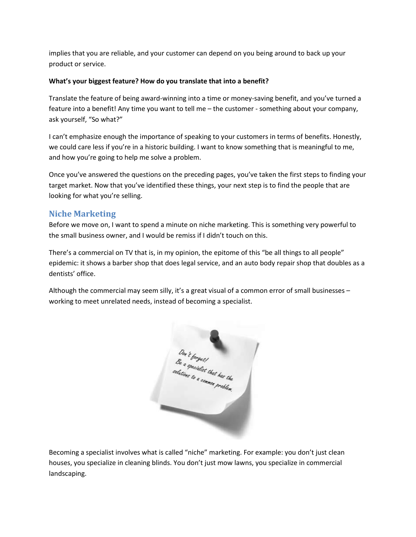implies that you are reliable, and your customer can depend on you being around to back up your product or service.

## **What's your biggest feature? How do you translate that into a benefit?**

Translate the feature of being award-winning into a time or money-saving benefit, and you've turned a feature into a benefit! Any time you want to tell me – the customer - something about your company, ask yourself, "So what?"

I can't emphasize enough the importance of speaking to your customers in terms of benefits. Honestly, we could care less if you're in a historic building. I want to know something that is meaningful to me, and how you're going to help me solve a problem.

Once you've answered the questions on the preceding pages, you've taken the first steps to finding your target market. Now that you've identified these things, your next step is to find the people that are looking for what you're selling.

# <span id="page-12-0"></span>**Niche Marketing**

Before we move on, I want to spend a minute on niche marketing. This is something very powerful to the small business owner, and I would be remiss if I didn't touch on this.

There's a commercial on TV that is, in my opinion, the epitome of this "be all things to all people" epidemic: it shows a barber shop that does legal service, and an auto body repair shop that doubles as a dentists' office.

Although the commercial may seem silly, it's a great visual of a common error of small businesses – working to meet unrelated needs, instead of becoming a specialist.



Becoming a specialist involves what is called "niche" marketing. For example: you don't just clean houses, you specialize in cleaning blinds. You don't just mow lawns, you specialize in commercial landscaping.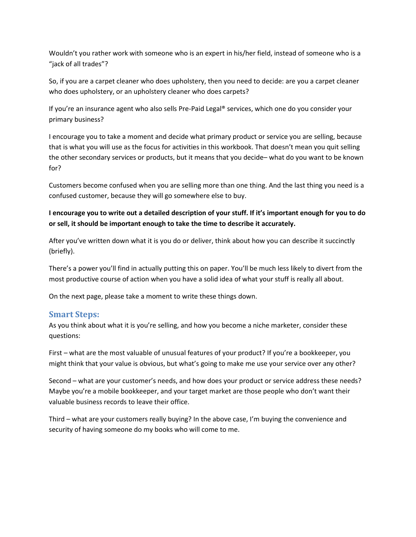Wouldn't you rather work with someone who is an expert in his/her field, instead of someone who is a "jack of all trades"?

So, if you are a carpet cleaner who does upholstery, then you need to decide: are you a carpet cleaner who does upholstery, or an upholstery cleaner who does carpets?

If you're an insurance agent who also sells Pre-Paid Legal® services, which one do you consider your primary business?

I encourage you to take a moment and decide what primary product or service you are selling, because that is what you will use as the focus for activities in this workbook. That doesn't mean you quit selling the other secondary services or products, but it means that you decide– what do you want to be known for?

Customers become confused when you are selling more than one thing. And the last thing you need is a confused customer, because they will go somewhere else to buy.

## **I encourage you to write out a detailed description of your stuff. If it's important enough for you to do or sell, it should be important enough to take the time to describe it accurately.**

After you've written down what it is you do or deliver, think about how you can describe it succinctly (briefly).

There's a power you'll find in actually putting this on paper. You'll be much less likely to divert from the most productive course of action when you have a solid idea of what your stuff is really all about.

On the next page, please take a moment to write these things down.

## <span id="page-13-0"></span>**Smart Steps:**

As you think about what it is you're selling, and how you become a niche marketer, consider these questions:

First – what are the most valuable of unusual features of your product? If you're a bookkeeper, you might think that your value is obvious, but what's going to make me use your service over any other?

Second – what are your customer's needs, and how does your product or service address these needs? Maybe you're a mobile bookkeeper, and your target market are those people who don't want their valuable business records to leave their office.

Third – what are your customers really buying? In the above case, I'm buying the convenience and security of having someone do my books who will come to me.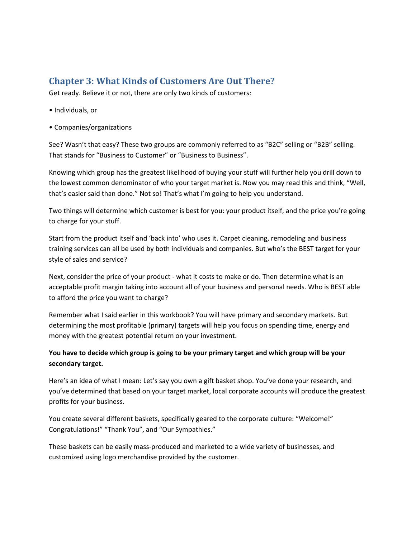# <span id="page-14-0"></span>**Chapter 3: What Kinds of Customers Are Out There?**

Get ready. Believe it or not, there are only two kinds of customers:

- Individuals, or
- Companies/organizations

See? Wasn't that easy? These two groups are commonly referred to as "B2C" selling or "B2B" selling. That stands for "Business to Customer" or "Business to Business".

Knowing which group has the greatest likelihood of buying your stuff will further help you drill down to the lowest common denominator of who your target market is. Now you may read this and think, "Well, that's easier said than done." Not so! That's what I'm going to help you understand.

Two things will determine which customer is best for you: your product itself, and the price you're going to charge for your stuff.

Start from the product itself and 'back into' who uses it. Carpet cleaning, remodeling and business training services can all be used by both individuals and companies. But who's the BEST target for your style of sales and service?

Next, consider the price of your product - what it costs to make or do. Then determine what is an acceptable profit margin taking into account all of your business and personal needs. Who is BEST able to afford the price you want to charge?

Remember what I said earlier in this workbook? You will have primary and secondary markets. But determining the most profitable (primary) targets will help you focus on spending time, energy and money with the greatest potential return on your investment.

# **You have to decide which group is going to be your primary target and which group will be your secondary target.**

Here's an idea of what I mean: Let's say you own a gift basket shop. You've done your research, and you've determined that based on your target market, local corporate accounts will produce the greatest profits for your business.

You create several different baskets, specifically geared to the corporate culture: "Welcome!" Congratulations!" "Thank You", and "Our Sympathies."

These baskets can be easily mass-produced and marketed to a wide variety of businesses, and customized using logo merchandise provided by the customer.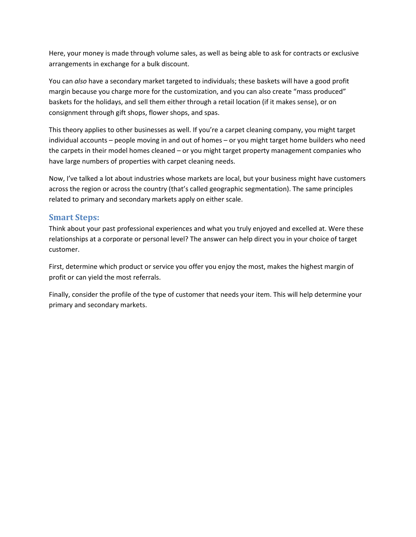Here, your money is made through volume sales, as well as being able to ask for contracts or exclusive arrangements in exchange for a bulk discount.

You can *also* have a secondary market targeted to individuals; these baskets will have a good profit margin because you charge more for the customization, and you can also create "mass produced" baskets for the holidays, and sell them either through a retail location (if it makes sense), or on consignment through gift shops, flower shops, and spas.

This theory applies to other businesses as well. If you're a carpet cleaning company, you might target individual accounts – people moving in and out of homes – or you might target home builders who need the carpets in their model homes cleaned – or you might target property management companies who have large numbers of properties with carpet cleaning needs.

Now, I've talked a lot about industries whose markets are local, but your business might have customers across the region or across the country (that's called geographic segmentation). The same principles related to primary and secondary markets apply on either scale.

## <span id="page-15-0"></span>**Smart Steps:**

Think about your past professional experiences and what you truly enjoyed and excelled at. Were these relationships at a corporate or personal level? The answer can help direct you in your choice of target customer.

First, determine which product or service you offer you enjoy the most, makes the highest margin of profit or can yield the most referrals.

Finally, consider the profile of the type of customer that needs your item. This will help determine your primary and secondary markets.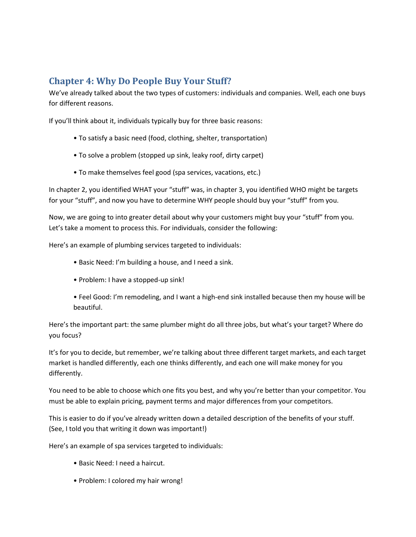# <span id="page-16-0"></span>**Chapter 4: Why Do People Buy Your Stuff?**

We've already talked about the two types of customers: individuals and companies. Well, each one buys for different reasons.

If you'll think about it, individuals typically buy for three basic reasons:

- To satisfy a basic need (food, clothing, shelter, transportation)
- To solve a problem (stopped up sink, leaky roof, dirty carpet)
- To make themselves feel good (spa services, vacations, etc.)

In chapter 2, you identified WHAT your "stuff" was, in chapter 3, you identified WHO might be targets for your "stuff", and now you have to determine WHY people should buy your "stuff" from you.

Now, we are going to into greater detail about why your customers might buy your "stuff" from you. Let's take a moment to process this. For individuals, consider the following:

Here's an example of plumbing services targeted to individuals:

- Basic Need: I'm building a house, and I need a sink.
- Problem: I have a stopped-up sink!
- Feel Good: I'm remodeling, and I want a high-end sink installed because then my house will be beautiful.

Here's the important part: the same plumber might do all three jobs, but what's your target? Where do you focus?

It's for you to decide, but remember, we're talking about three different target markets, and each target market is handled differently, each one thinks differently, and each one will make money for you differently.

You need to be able to choose which one fits you best, and why you're better than your competitor. You must be able to explain pricing, payment terms and major differences from your competitors.

This is easier to do if you've already written down a detailed description of the benefits of your stuff. (See, I told you that writing it down was important!)

Here's an example of spa services targeted to individuals:

- Basic Need: I need a haircut.
- Problem: I colored my hair wrong!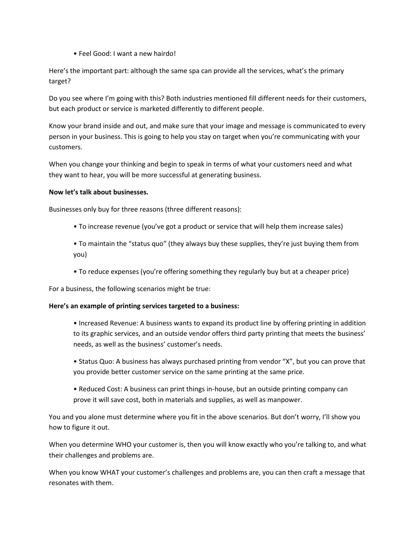• Feel Good: I want a new hairdo!

Here's the important part: although the same spa can provide all the services, what's the primary target?

Do you see where I'm going with this? Both industries mentioned fill different needs for their customers, but each product or service is marketed differently to different people.

Know your brand inside and out, and make sure that your image and message is communicated to every person in your business. This is going to help you stay on target when you're communicating with your customers.

When you change your thinking and begin to speak in terms of what your customers need and what they want to hear, you will be more successful at generating business.

### **Now let's talk about businesses.**

Businesses only buy for three reasons (three different reasons):

- To increase revenue (you've got a product or service that will help them increase sales)
- To maintain the "status quo" (they always buy these supplies, they're just buying them from you)
- To reduce expenses (you're offering something they regularly buy but at a cheaper price)

For a business, the following scenarios might be true:

#### **Here's an example of printing services targeted to a business:**

- Increased Revenue: A business wants to expand its product line by offering printing in addition to its graphic services, and an outside vendor offers third party printing that meets the business' needs, as well as the business' customer's needs.
- Status Quo: A business has always purchased printing from vendor "X", but you can prove that you provide better customer service on the same printing at the same price.
- Reduced Cost: A business can print things in-house, but an outside printing company can prove it will save cost, both in materials and supplies, as well as manpower.

You and you alone must determine where you fit in the above scenarios. But don't worry, I'll show you how to figure it out.

When you determine WHO your customer is, then you will know exactly who you're talking to, and what their challenges and problems are.

When you know WHAT your customer's challenges and problems are, you can then craft a message that resonates with them.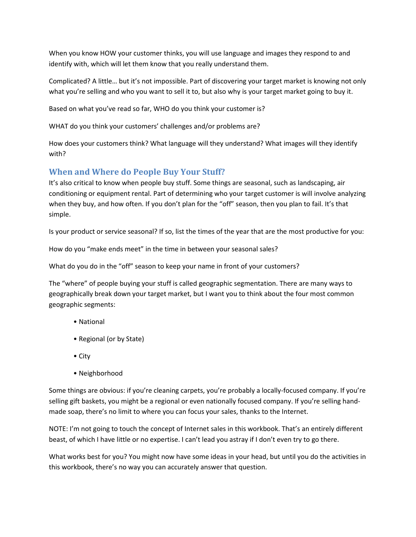When you know HOW your customer thinks, you will use language and images they respond to and identify with, which will let them know that you really understand them.

Complicated? A little… but it's not impossible. Part of discovering your target market is knowing not only what you're selling and who you want to sell it to, but also why is your target market going to buy it.

Based on what you've read so far, WHO do you think your customer is?

WHAT do you think your customers' challenges and/or problems are?

How does your customers think? What language will they understand? What images will they identify with?

# <span id="page-18-0"></span>**When and Where do People Buy Your Stuff?**

It's also critical to know when people buy stuff. Some things are seasonal, such as landscaping, air conditioning or equipment rental. Part of determining who your target customer is will involve analyzing when they buy, and how often. If you don't plan for the "off" season, then you plan to fail. It's that simple.

Is your product or service seasonal? If so, list the times of the year that are the most productive for you:

How do you "make ends meet" in the time in between your seasonal sales?

What do you do in the "off" season to keep your name in front of your customers?

The "where" of people buying your stuff is called geographic segmentation. There are many ways to geographically break down your target market, but I want you to think about the four most common geographic segments:

- National
- Regional (or by State)
- City
- Neighborhood

Some things are obvious: if you're cleaning carpets, you're probably a locally-focused company. If you're selling gift baskets, you might be a regional or even nationally focused company. If you're selling handmade soap, there's no limit to where you can focus your sales, thanks to the Internet.

NOTE: I'm not going to touch the concept of Internet sales in this workbook. That's an entirely different beast, of which I have little or no expertise. I can't lead you astray if I don't even try to go there.

What works best for you? You might now have some ideas in your head, but until you do the activities in this workbook, there's no way you can accurately answer that question.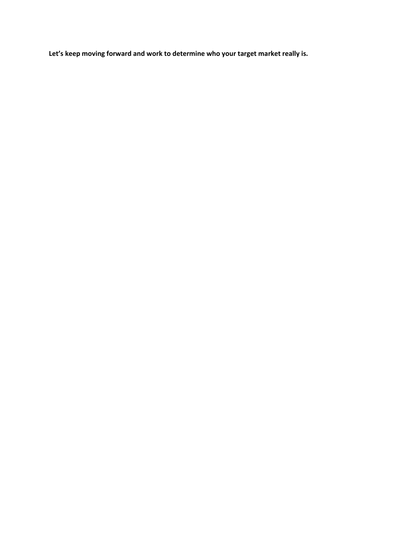**Let's keep moving forward and work to determine who your target market really is.**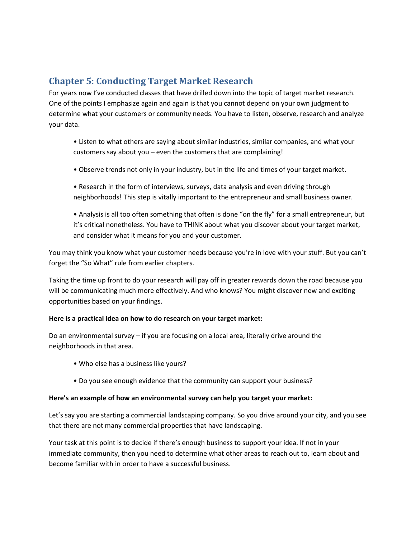# <span id="page-20-0"></span>**Chapter 5: Conducting Target Market Research**

For years now I've conducted classes that have drilled down into the topic of target market research. One of the points I emphasize again and again is that you cannot depend on your own judgment to determine what your customers or community needs. You have to listen, observe, research and analyze your data.

- Listen to what others are saying about similar industries, similar companies, and what your customers say about you – even the customers that are complaining!
- Observe trends not only in your industry, but in the life and times of your target market.
- Research in the form of interviews, surveys, data analysis and even driving through neighborhoods! This step is vitally important to the entrepreneur and small business owner.
- Analysis is all too often something that often is done "on the fly" for a small entrepreneur, but it's critical nonetheless. You have to THINK about what you discover about your target market, and consider what it means for you and your customer.

You may think you know what your customer needs because you're in love with your stuff. But you can't forget the "So What" rule from earlier chapters.

Taking the time up front to do your research will pay off in greater rewards down the road because you will be communicating much more effectively. And who knows? You might discover new and exciting opportunities based on your findings.

#### **Here is a practical idea on how to do research on your target market:**

Do an environmental survey – if you are focusing on a local area, literally drive around the neighborhoods in that area.

- Who else has a business like yours?
- Do you see enough evidence that the community can support your business?

#### **Here's an example of how an environmental survey can help you target your market:**

Let's say you are starting a commercial landscaping company. So you drive around your city, and you see that there are not many commercial properties that have landscaping.

Your task at this point is to decide if there's enough business to support your idea. If not in your immediate community, then you need to determine what other areas to reach out to, learn about and become familiar with in order to have a successful business.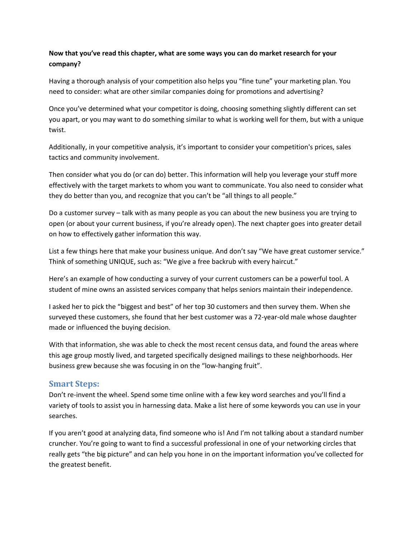## **Now that you've read this chapter, what are some ways you can do market research for your company?**

Having a thorough analysis of your competition also helps you "fine tune" your marketing plan. You need to consider: what are other similar companies doing for promotions and advertising?

Once you've determined what your competitor is doing, choosing something slightly different can set you apart, or you may want to do something similar to what is working well for them, but with a unique twist.

Additionally, in your competitive analysis, it's important to consider your competition's prices, sales tactics and community involvement.

Then consider what you do (or can do) better. This information will help you leverage your stuff more effectively with the target markets to whom you want to communicate. You also need to consider what they do better than you, and recognize that you can't be "all things to all people."

Do a customer survey – talk with as many people as you can about the new business you are trying to open (or about your current business, if you're already open). The next chapter goes into greater detail on how to effectively gather information this way.

List a few things here that make your business unique. And don't say "We have great customer service." Think of something UNIQUE, such as: "We give a free backrub with every haircut."

Here's an example of how conducting a survey of your current customers can be a powerful tool. A student of mine owns an assisted services company that helps seniors maintain their independence.

I asked her to pick the "biggest and best" of her top 30 customers and then survey them. When she surveyed these customers, she found that her best customer was a 72-year-old male whose daughter made or influenced the buying decision.

With that information, she was able to check the most recent census data, and found the areas where this age group mostly lived, and targeted specifically designed mailings to these neighborhoods. Her business grew because she was focusing in on the "low-hanging fruit".

## <span id="page-21-0"></span>**Smart Steps:**

Don't re-invent the wheel. Spend some time online with a few key word searches and you'll find a variety of tools to assist you in harnessing data. Make a list here of some keywords you can use in your searches.

If you aren't good at analyzing data, find someone who is! And I'm not talking about a standard number cruncher. You're going to want to find a successful professional in one of your networking circles that really gets "the big picture" and can help you hone in on the important information you've collected for the greatest benefit.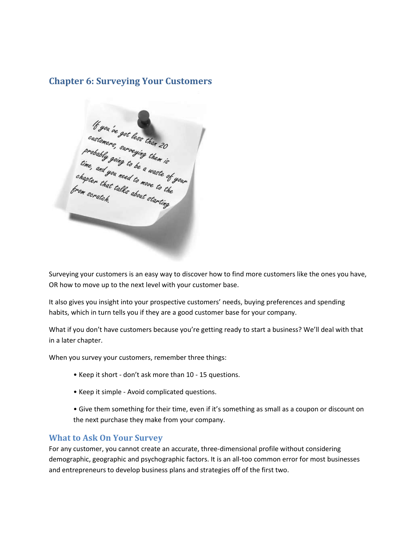# <span id="page-22-0"></span>**Chapter 6: Surveying Your Customers**



Surveying your customers is an easy way to discover how to find more customers like the ones you have, OR how to move up to the next level with your customer base.

It also gives you insight into your prospective customers' needs, buying preferences and spending habits, which in turn tells you if they are a good customer base for your company.

What if you don't have customers because you're getting ready to start a business? We'll deal with that in a later chapter.

When you survey your customers, remember three things:

- Keep it short don't ask more than 10 15 questions.
- Keep it simple Avoid complicated questions.
- Give them something for their time, even if it's something as small as a coupon or discount on the next purchase they make from your company.

## <span id="page-22-1"></span>**What to Ask On Your Survey**

For any customer, you cannot create an accurate, three-dimensional profile without considering demographic, geographic and psychographic factors. It is an all-too common error for most businesses and entrepreneurs to develop business plans and strategies off of the first two.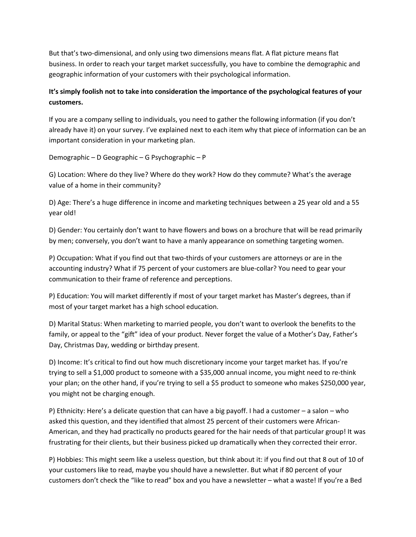But that's two-dimensional, and only using two dimensions means flat. A flat picture means flat business. In order to reach your target market successfully, you have to combine the demographic and geographic information of your customers with their psychological information.

# **It's simply foolish not to take into consideration the importance of the psychological features of your customers.**

If you are a company selling to individuals, you need to gather the following information (if you don't already have it) on your survey. I've explained next to each item why that piece of information can be an important consideration in your marketing plan.

Demographic – D Geographic – G Psychographic – P

G) Location: Where do they live? Where do they work? How do they commute? What's the average value of a home in their community?

D) Age: There's a huge difference in income and marketing techniques between a 25 year old and a 55 year old!

D) Gender: You certainly don't want to have flowers and bows on a brochure that will be read primarily by men; conversely, you don't want to have a manly appearance on something targeting women.

P) Occupation: What if you find out that two-thirds of your customers are attorneys or are in the accounting industry? What if 75 percent of your customers are blue-collar? You need to gear your communication to their frame of reference and perceptions.

P) Education: You will market differently if most of your target market has Master's degrees, than if most of your target market has a high school education.

D) Marital Status: When marketing to married people, you don't want to overlook the benefits to the family, or appeal to the "gift" idea of your product. Never forget the value of a Mother's Day, Father's Day, Christmas Day, wedding or birthday present.

D) Income: It's critical to find out how much discretionary income your target market has. If you're trying to sell a \$1,000 product to someone with a \$35,000 annual income, you might need to re-think your plan; on the other hand, if you're trying to sell a \$5 product to someone who makes \$250,000 year, you might not be charging enough.

P) Ethnicity: Here's a delicate question that can have a big payoff. I had a customer – a salon – who asked this question, and they identified that almost 25 percent of their customers were African-American, and they had practically no products geared for the hair needs of that particular group! It was frustrating for their clients, but their business picked up dramatically when they corrected their error.

P) Hobbies: This might seem like a useless question, but think about it: if you find out that 8 out of 10 of your customers like to read, maybe you should have a newsletter. But what if 80 percent of your customers don't check the "like to read" box and you have a newsletter – what a waste! If you're a Bed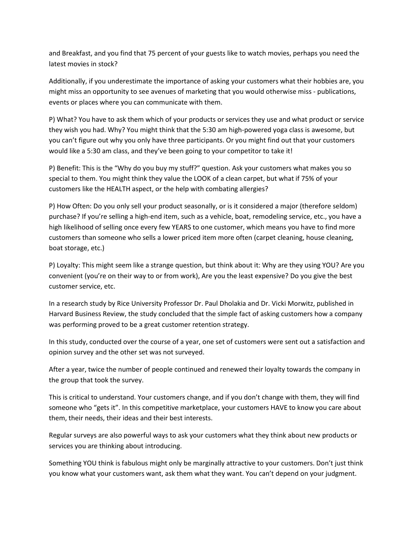and Breakfast, and you find that 75 percent of your guests like to watch movies, perhaps you need the latest movies in stock?

Additionally, if you underestimate the importance of asking your customers what their hobbies are, you might miss an opportunity to see avenues of marketing that you would otherwise miss - publications, events or places where you can communicate with them.

P) What? You have to ask them which of your products or services they use and what product or service they wish you had. Why? You might think that the 5:30 am high-powered yoga class is awesome, but you can't figure out why you only have three participants. Or you might find out that your customers would like a 5:30 am class, and they've been going to your competitor to take it!

P) Benefit: This is the "Why do you buy my stuff?" question. Ask your customers what makes you so special to them. You might think they value the LOOK of a clean carpet, but what if 75% of your customers like the HEALTH aspect, or the help with combating allergies?

P) How Often: Do you only sell your product seasonally, or is it considered a major (therefore seldom) purchase? If you're selling a high-end item, such as a vehicle, boat, remodeling service, etc., you have a high likelihood of selling once every few YEARS to one customer, which means you have to find more customers than someone who sells a lower priced item more often (carpet cleaning, house cleaning, boat storage, etc.)

P) Loyalty: This might seem like a strange question, but think about it: Why are they using YOU? Are you convenient (you're on their way to or from work), Are you the least expensive? Do you give the best customer service, etc.

In a research study by Rice University Professor Dr. Paul Dholakia and Dr. Vicki Morwitz, published in Harvard Business Review, the study concluded that the simple fact of asking customers how a company was performing proved to be a great customer retention strategy.

In this study, conducted over the course of a year, one set of customers were sent out a satisfaction and opinion survey and the other set was not surveyed.

After a year, twice the number of people continued and renewed their loyalty towards the company in the group that took the survey.

This is critical to understand. Your customers change, and if you don't change with them, they will find someone who "gets it". In this competitive marketplace, your customers HAVE to know you care about them, their needs, their ideas and their best interests.

Regular surveys are also powerful ways to ask your customers what they think about new products or services you are thinking about introducing.

Something YOU think is fabulous might only be marginally attractive to your customers. Don't just think you know what your customers want, ask them what they want. You can't depend on your judgment.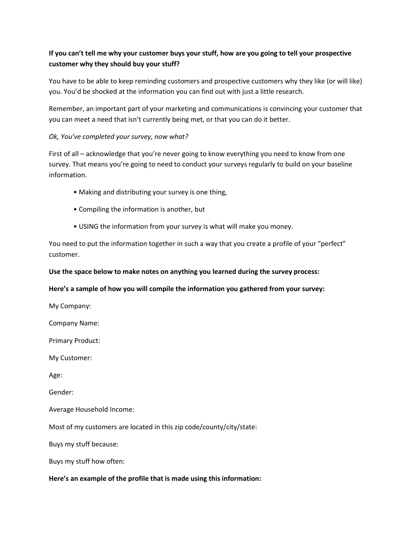# **If you can't tell me why your customer buys your stuff, how are you going to tell your prospective customer why they should buy your stuff?**

You have to be able to keep reminding customers and prospective customers why they like (or will like) you. You'd be shocked at the information you can find out with just a little research.

Remember, an important part of your marketing and communications is convincing your customer that you can meet a need that isn't currently being met, or that you can do it better.

## *Ok, You've completed your survey, now what?*

First of all – acknowledge that you're never going to know everything you need to know from one survey. That means you're going to need to conduct your surveys regularly to build on your baseline information.

- Making and distributing your survey is one thing,
- Compiling the information is another, but
- USING the information from your survey is what will make you money.

You need to put the information together in such a way that you create a profile of your "perfect" customer.

## **Use the space below to make notes on anything you learned during the survey process:**

## **Here's a sample of how you will compile the information you gathered from your survey:**

My Company:

Company Name:

Primary Product:

My Customer:

Age:

Gender:

Average Household Income:

Most of my customers are located in this zip code/county/city/state:

Buys my stuff because:

Buys my stuff how often:

## **Here's an example of the profile that is made using this information:**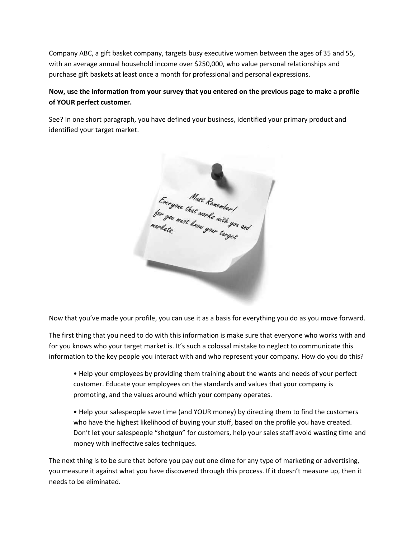Company ABC, a gift basket company, targets busy executive women between the ages of 35 and 55, with an average annual household income over \$250,000, who value personal relationships and purchase gift baskets at least once a month for professional and personal expressions.

## **Now, use the information from your survey that you entered on the previous page to make a profile of YOUR perfect customer.**

See? In one short paragraph, you have defined your business, identified your primary product and identified your target market.

Everyone Must Remember !<br>for you must have works with you and<br>markets,

Now that you've made your profile, you can use it as a basis for everything you do as you move forward.

The first thing that you need to do with this information is make sure that everyone who works with and for you knows who your target market is. It's such a colossal mistake to neglect to communicate this information to the key people you interact with and who represent your company. How do you do this?

• Help your employees by providing them training about the wants and needs of your perfect customer. Educate your employees on the standards and values that your company is promoting, and the values around which your company operates.

• Help your salespeople save time (and YOUR money) by directing them to find the customers who have the highest likelihood of buying your stuff, based on the profile you have created. Don't let your salespeople "shotgun" for customers, help your sales staff avoid wasting time and money with ineffective sales techniques.

The next thing is to be sure that before you pay out one dime for any type of marketing or advertising, you measure it against what you have discovered through this process. If it doesn't measure up, then it needs to be eliminated.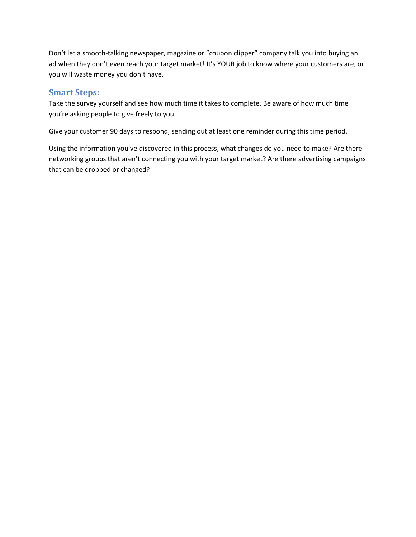Don't let a smooth-talking newspaper, magazine or "coupon clipper" company talk you into buying an ad when they don't even reach your target market! It's YOUR job to know where your customers are, or you will waste money you don't have.

# <span id="page-27-0"></span>**Smart Steps:**

Take the survey yourself and see how much time it takes to complete. Be aware of how much time you're asking people to give freely to you.

Give your customer 90 days to respond, sending out at least one reminder during this time period.

Using the information you've discovered in this process, what changes do you need to make? Are there networking groups that aren't connecting you with your target market? Are there advertising campaigns that can be dropped or changed?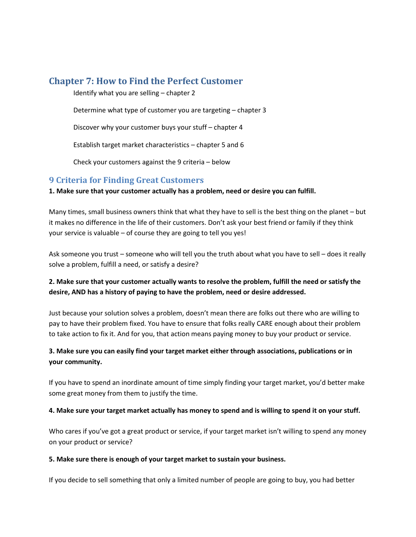# <span id="page-28-0"></span>**Chapter 7: How to Find the Perfect Customer**

Identify what you are selling – chapter 2

Determine what type of customer you are targeting – chapter 3

Discover why your customer buys your stuff – chapter 4

Establish target market characteristics – chapter 5 and 6

Check your customers against the 9 criteria – below

# <span id="page-28-1"></span>**9 Criteria for Finding Great Customers**

**1. Make sure that your customer actually has a problem, need or desire you can fulfill.**

Many times, small business owners think that what they have to sell is the best thing on the planet – but it makes no difference in the life of their customers. Don't ask your best friend or family if they think your service is valuable – of course they are going to tell you yes!

Ask someone you trust – someone who will tell you the truth about what you have to sell – does it really solve a problem, fulfill a need, or satisfy a desire?

## **2. Make sure that your customer actually wants to resolve the problem, fulfill the need or satisfy the desire, AND has a history of paying to have the problem, need or desire addressed.**

Just because your solution solves a problem, doesn't mean there are folks out there who are willing to pay to have their problem fixed. You have to ensure that folks really CARE enough about their problem to take action to fix it. And for you, that action means paying money to buy your product or service.

# **3. Make sure you can easily find your target market either through associations, publications or in your community.**

If you have to spend an inordinate amount of time simply finding your target market, you'd better make some great money from them to justify the time.

## **4. Make sure your target market actually has money to spend and is willing to spend it on your stuff.**

Who cares if you've got a great product or service, if your target market isn't willing to spend any money on your product or service?

#### **5. Make sure there is enough of your target market to sustain your business.**

If you decide to sell something that only a limited number of people are going to buy, you had better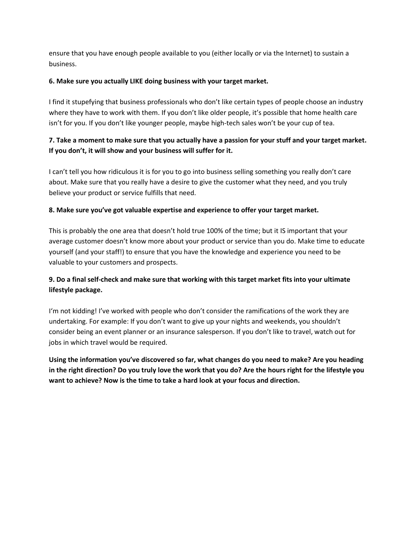ensure that you have enough people available to you (either locally or via the Internet) to sustain a business.

## **6. Make sure you actually LIKE doing business with your target market.**

I find it stupefying that business professionals who don't like certain types of people choose an industry where they have to work with them. If you don't like older people, it's possible that home health care isn't for you. If you don't like younger people, maybe high-tech sales won't be your cup of tea.

# **7. Take a moment to make sure that you actually have a passion for your stuff and your target market. If you don't, it will show and your business will suffer for it.**

I can't tell you how ridiculous it is for you to go into business selling something you really don't care about. Make sure that you really have a desire to give the customer what they need, and you truly believe your product or service fulfills that need.

## **8. Make sure you've got valuable expertise and experience to offer your target market.**

This is probably the one area that doesn't hold true 100% of the time; but it IS important that your average customer doesn't know more about your product or service than you do. Make time to educate yourself (and your staff!) to ensure that you have the knowledge and experience you need to be valuable to your customers and prospects.

# **9. Do a final self-check and make sure that working with this target market fits into your ultimate lifestyle package.**

I'm not kidding! I've worked with people who don't consider the ramifications of the work they are undertaking. For example: If you don't want to give up your nights and weekends, you shouldn't consider being an event planner or an insurance salesperson. If you don't like to travel, watch out for jobs in which travel would be required.

**Using the information you've discovered so far, what changes do you need to make? Are you heading in the right direction? Do you truly love the work that you do? Are the hours right for the lifestyle you want to achieve? Now is the time to take a hard look at your focus and direction.**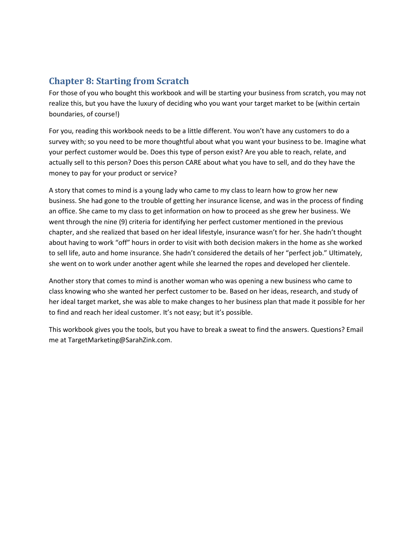# <span id="page-30-0"></span>**Chapter 8: Starting from Scratch**

For those of you who bought this workbook and will be starting your business from scratch, you may not realize this, but you have the luxury of deciding who you want your target market to be (within certain boundaries, of course!)

For you, reading this workbook needs to be a little different. You won't have any customers to do a survey with; so you need to be more thoughtful about what you want your business to be. Imagine what your perfect customer would be. Does this type of person exist? Are you able to reach, relate, and actually sell to this person? Does this person CARE about what you have to sell, and do they have the money to pay for your product or service?

A story that comes to mind is a young lady who came to my class to learn how to grow her new business. She had gone to the trouble of getting her insurance license, and was in the process of finding an office. She came to my class to get information on how to proceed as she grew her business. We went through the nine (9) criteria for identifying her perfect customer mentioned in the previous chapter, and she realized that based on her ideal lifestyle, insurance wasn't for her. She hadn't thought about having to work "off" hours in order to visit with both decision makers in the home as she worked to sell life, auto and home insurance. She hadn't considered the details of her "perfect job." Ultimately, she went on to work under another agent while she learned the ropes and developed her clientele.

Another story that comes to mind is another woman who was opening a new business who came to class knowing who she wanted her perfect customer to be. Based on her ideas, research, and study of her ideal target market, she was able to make changes to her business plan that made it possible for her to find and reach her ideal customer. It's not easy; but it's possible.

This workbook gives you the tools, but you have to break a sweat to find the answers. Questions? Email me at TargetMarketing@SarahZink.com.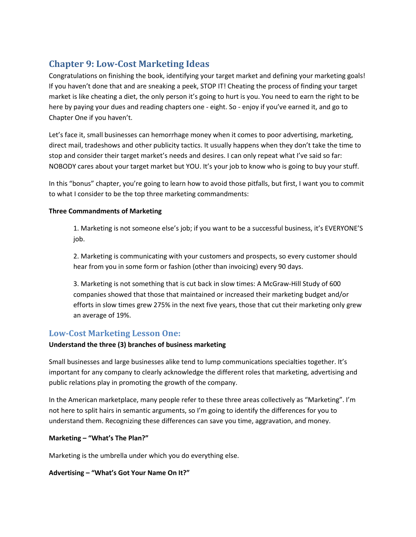# <span id="page-31-0"></span>**Chapter 9: Low-Cost Marketing Ideas**

Congratulations on finishing the book, identifying your target market and defining your marketing goals! If you haven't done that and are sneaking a peek, STOP IT! Cheating the process of finding your target market is like cheating a diet, the only person it's going to hurt is you. You need to earn the right to be here by paying your dues and reading chapters one - eight. So - enjoy if you've earned it, and go to Chapter One if you haven't.

Let's face it, small businesses can hemorrhage money when it comes to poor advertising, marketing, direct mail, tradeshows and other publicity tactics. It usually happens when they don't take the time to stop and consider their target market's needs and desires. I can only repeat what I've said so far: NOBODY cares about your target market but YOU. It's your job to know who is going to buy your stuff.

In this "bonus" chapter, you're going to learn how to avoid those pitfalls, but first, I want you to commit to what I consider to be the top three marketing commandments:

## **Three Commandments of Marketing**

1. Marketing is not someone else's job; if you want to be a successful business, it's EVERYONE'S job.

2. Marketing is communicating with your customers and prospects, so every customer should hear from you in some form or fashion (other than invoicing) every 90 days.

3. Marketing is not something that is cut back in slow times: A McGraw-Hill Study of 600 companies showed that those that maintained or increased their marketing budget and/or efforts in slow times grew 275% in the next five years, those that cut their marketing only grew an average of 19%.

# <span id="page-31-1"></span>**Low-Cost Marketing Lesson One:**

## **Understand the three (3) branches of business marketing**

Small businesses and large businesses alike tend to lump communications specialties together. It's important for any company to clearly acknowledge the different roles that marketing, advertising and public relations play in promoting the growth of the company.

In the American marketplace, many people refer to these three areas collectively as "Marketing". I'm not here to split hairs in semantic arguments, so I'm going to identify the differences for you to understand them. Recognizing these differences can save you time, aggravation, and money.

## **Marketing – "What's The Plan?"**

Marketing is the umbrella under which you do everything else.

## **Advertising – "What's Got Your Name On It?"**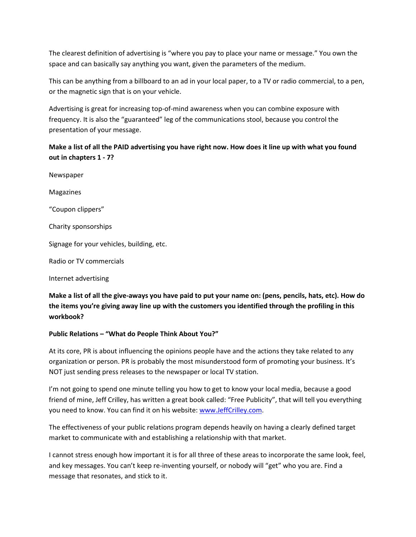The clearest definition of advertising is "where you pay to place your name or message." You own the space and can basically say anything you want, given the parameters of the medium.

This can be anything from a billboard to an ad in your local paper, to a TV or radio commercial, to a pen, or the magnetic sign that is on your vehicle.

Advertising is great for increasing top-of-mind awareness when you can combine exposure with frequency. It is also the "guaranteed" leg of the communications stool, because you control the presentation of your message.

# **Make a list of all the PAID advertising you have right now. How does it line up with what you found out in chapters 1 - 7?**

Newspaper Magazines "Coupon clippers" Charity sponsorships Signage for your vehicles, building, etc. Radio or TV commercials

Internet advertising

**Make a list of all the give-aways you have paid to put your name on: (pens, pencils, hats, etc). How do the items you're giving away line up with the customers you identified through the profiling in this workbook?**

## **Public Relations – "What do People Think About You?"**

At its core, PR is about influencing the opinions people have and the actions they take related to any organization or person. PR is probably the most misunderstood form of promoting your business. It's NOT just sending press releases to the newspaper or local TV station.

I'm not going to spend one minute telling you how to get to know your local media, because a good friend of mine, Jeff Crilley, has written a great book called: "Free Publicity", that will tell you everything you need to know. You can find it on his website: [www.JeffCrilley.com.](http://www.jeffcrilley.com/)

The effectiveness of your public relations program depends heavily on having a clearly defined target market to communicate with and establishing a relationship with that market.

I cannot stress enough how important it is for all three of these areas to incorporate the same look, feel, and key messages. You can't keep re-inventing yourself, or nobody will "get" who you are. Find a message that resonates, and stick to it.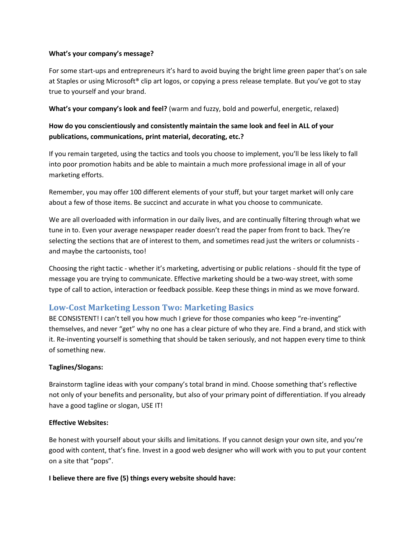#### **What's your company's message?**

For some start-ups and entrepreneurs it's hard to avoid buying the bright lime green paper that's on sale at Staples or using Microsoft® clip art logos, or copying a press release template. But you've got to stay true to yourself and your brand.

**What's your company's look and feel?** (warm and fuzzy, bold and powerful, energetic, relaxed)

## **How do you conscientiously and consistently maintain the same look and feel in ALL of your publications, communications, print material, decorating, etc.?**

If you remain targeted, using the tactics and tools you choose to implement, you'll be less likely to fall into poor promotion habits and be able to maintain a much more professional image in all of your marketing efforts.

Remember, you may offer 100 different elements of your stuff, but your target market will only care about a few of those items. Be succinct and accurate in what you choose to communicate.

We are all overloaded with information in our daily lives, and are continually filtering through what we tune in to. Even your average newspaper reader doesn't read the paper from front to back. They're selecting the sections that are of interest to them, and sometimes read just the writers or columnists and maybe the cartoonists, too!

Choosing the right tactic - whether it's marketing, advertising or public relations - should fit the type of message you are trying to communicate. Effective marketing should be a two-way street, with some type of call to action, interaction or feedback possible. Keep these things in mind as we move forward.

# <span id="page-33-0"></span>**Low-Cost Marketing Lesson Two: Marketing Basics**

BE CONSISTENT! I can't tell you how much I grieve for those companies who keep "re-inventing" themselves, and never "get" why no one has a clear picture of who they are. Find a brand, and stick with it. Re-inventing yourself is something that should be taken seriously, and not happen every time to think of something new.

## **Taglines/Slogans:**

Brainstorm tagline ideas with your company's total brand in mind. Choose something that's reflective not only of your benefits and personality, but also of your primary point of differentiation. If you already have a good tagline or slogan, USE IT!

#### **Effective Websites:**

Be honest with yourself about your skills and limitations. If you cannot design your own site, and you're good with content, that's fine. Invest in a good web designer who will work with you to put your content on a site that "pops".

**I believe there are five (5) things every website should have:**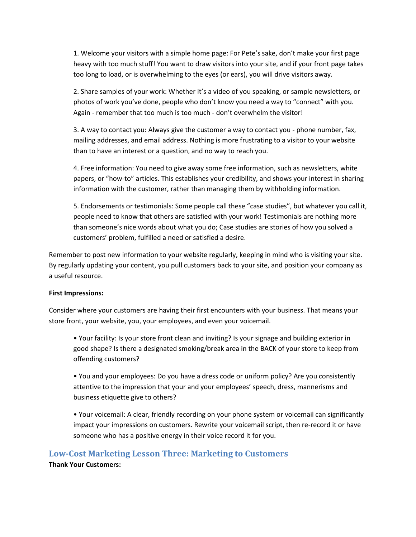1. Welcome your visitors with a simple home page: For Pete's sake, don't make your first page heavy with too much stuff! You want to draw visitors into your site, and if your front page takes too long to load, or is overwhelming to the eyes (or ears), you will drive visitors away.

2. Share samples of your work: Whether it's a video of you speaking, or sample newsletters, or photos of work you've done, people who don't know you need a way to "connect" with you. Again - remember that too much is too much - don't overwhelm the visitor!

3. A way to contact you: Always give the customer a way to contact you - phone number, fax, mailing addresses, and email address. Nothing is more frustrating to a visitor to your website than to have an interest or a question, and no way to reach you.

4. Free information: You need to give away some free information, such as newsletters, white papers, or "how-to" articles. This establishes your credibility, and shows your interest in sharing information with the customer, rather than managing them by withholding information.

5. Endorsements or testimonials: Some people call these "case studies", but whatever you call it, people need to know that others are satisfied with your work! Testimonials are nothing more than someone's nice words about what you do; Case studies are stories of how you solved a customers' problem, fulfilled a need or satisfied a desire.

Remember to post new information to your website regularly, keeping in mind who is visiting your site. By regularly updating your content, you pull customers back to your site, and position your company as a useful resource.

#### **First Impressions:**

Consider where your customers are having their first encounters with your business. That means your store front, your website, you, your employees, and even your voicemail.

• Your facility: Is your store front clean and inviting? Is your signage and building exterior in good shape? Is there a designated smoking/break area in the BACK of your store to keep from offending customers?

• You and your employees: Do you have a dress code or uniform policy? Are you consistently attentive to the impression that your and your employees' speech, dress, mannerisms and business etiquette give to others?

• Your voicemail: A clear, friendly recording on your phone system or voicemail can significantly impact your impressions on customers. Rewrite your voicemail script, then re-record it or have someone who has a positive energy in their voice record it for you.

## <span id="page-34-0"></span>**Low-Cost Marketing Lesson Three: Marketing to Customers**

**Thank Your Customers:**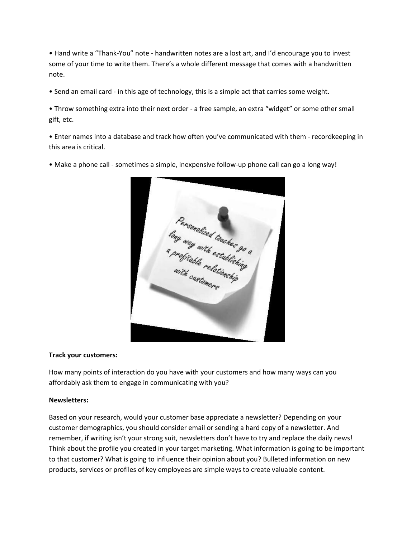• Hand write a "Thank-You" note - handwritten notes are a lost art, and I'd encourage you to invest some of your time to write them. There's a whole different message that comes with a handwritten note.

• Send an email card - in this age of technology, this is a simple act that carries some weight.

• Throw something extra into their next order - a free sample, an extra "widget" or some other small gift, etc.

• Enter names into a database and track how often you've communicated with them - recordkeeping in this area is critical.

• Make a phone call - sometimes a simple, inexpensive follow-up phone call can go a long way!



#### **Track your customers:**

How many points of interaction do you have with your customers and how many ways can you affordably ask them to engage in communicating with you?

#### **Newsletters:**

Based on your research, would your customer base appreciate a newsletter? Depending on your customer demographics, you should consider email or sending a hard copy of a newsletter. And remember, if writing isn't your strong suit, newsletters don't have to try and replace the daily news! Think about the profile you created in your target marketing. What information is going to be important to that customer? What is going to influence their opinion about you? Bulleted information on new products, services or profiles of key employees are simple ways to create valuable content.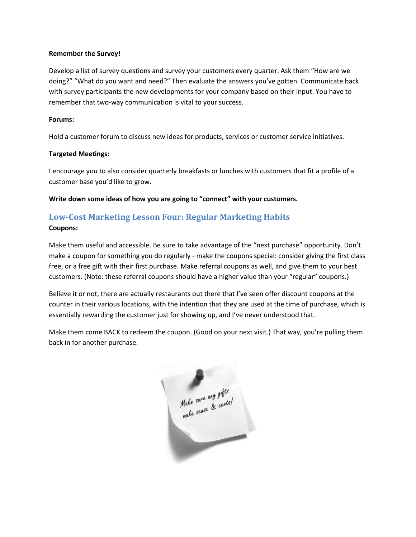#### **Remember the Survey!**

Develop a list of survey questions and survey your customers every quarter. Ask them "How are we doing?" "What do you want and need?" Then evaluate the answers you've gotten. Communicate back with survey participants the new developments for your company based on their input. You have to remember that two-way communication is vital to your success.

#### **Forums:**

Hold a customer forum to discuss new ideas for products, services or customer service initiatives.

#### **Targeted Meetings:**

I encourage you to also consider quarterly breakfasts or lunches with customers that fit a profile of a customer base you'd like to grow.

**Write down some ideas of how you are going to "connect" with your customers.**

# <span id="page-36-0"></span>**Low-Cost Marketing Lesson Four: Regular Marketing Habits**

#### **Coupons:**

Make them useful and accessible. Be sure to take advantage of the "next purchase" opportunity. Don't make a coupon for something you do regularly - make the coupons special: consider giving the first class free, or a free gift with their first purchase. Make referral coupons as well, and give them to your best customers. (Note: these referral coupons should have a higher value than your "regular" coupons.)

Believe it or not, there are actually restaurants out there that I've seen offer discount coupons at the counter in their various locations, with the intention that they are used at the time of purchase, which is essentially rewarding the customer just for showing up, and I've never understood that.

Make them come BACK to redeem the coupon. (Good on your next visit.) That way, you're pulling them back in for another purchase.

Make sure any gifts<br>Make sure any gifts ╱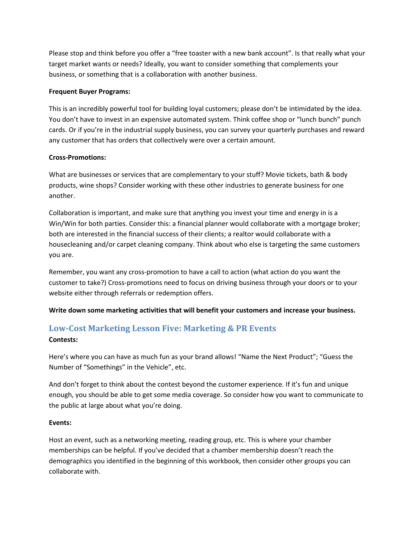Please stop and think before you offer a "free toaster with a new bank account". Is that really what your target market wants or needs? Ideally, you want to consider something that complements your business, or something that is a collaboration with another business.

#### **Frequent Buyer Programs:**

This is an incredibly powerful tool for building loyal customers; please don't be intimidated by the idea. You don't have to invest in an expensive automated system. Think coffee shop or "lunch bunch" punch cards. Or if you're in the industrial supply business, you can survey your quarterly purchases and reward any customer that has orders that collectively were over a certain amount.

### **Cross-Promotions:**

What are businesses or services that are complementary to your stuff? Movie tickets, bath & body products, wine shops? Consider working with these other industries to generate business for one another.

Collaboration is important, and make sure that anything you invest your time and energy in is a Win/Win for both parties. Consider this: a financial planner would collaborate with a mortgage broker; both are interested in the financial success of their clients; a realtor would collaborate with a housecleaning and/or carpet cleaning company. Think about who else is targeting the same customers you are.

Remember, you want any cross-promotion to have a call to action (what action do you want the customer to take?) Cross-promotions need to focus on driving business through your doors or to your website either through referrals or redemption offers.

**Write down some marketing activities that will benefit your customers and increase your business.**

# <span id="page-37-0"></span>**Low-Cost Marketing Lesson Five: Marketing & PR Events**

## **Contests:**

Here's where you can have as much fun as your brand allows! "Name the Next Product"; "Guess the Number of "Somethings" in the Vehicle", etc.

And don't forget to think about the contest beyond the customer experience. If it's fun and unique enough, you should be able to get some media coverage. So consider how you want to communicate to the public at large about what you're doing.

#### **Events:**

Host an event, such as a networking meeting, reading group, etc. This is where your chamber memberships can be helpful. If you've decided that a chamber membership doesn't reach the demographics you identified in the beginning of this workbook, then consider other groups you can collaborate with.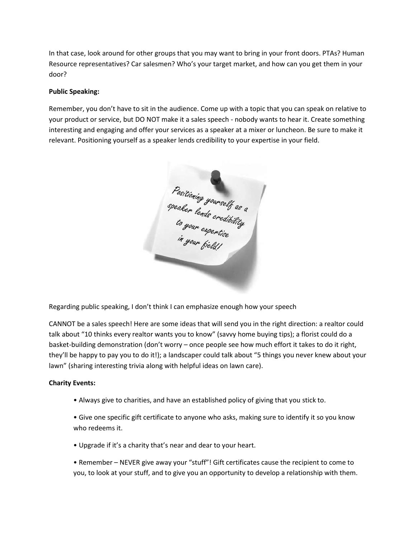In that case, look around for other groups that you may want to bring in your front doors. PTAs? Human Resource representatives? Car salesmen? Who's your target market, and how can you get them in your door?

### **Public Speaking:**

Remember, you don't have to sit in the audience. Come up with a topic that you can speak on relative to your product or service, but DO NOT make it a sales speech - nobody wants to hear it. Create something interesting and engaging and offer your services as a speaker at a mixer or luncheon. Be sure to make it relevant. Positioning yourself as a speaker lends credibility to your expertise in your field.

Positioning yourself as a<br>speaker lends credibility<br>to your expertise<br>in your field!

Regarding public speaking, I don't think I can emphasize enough how your speech

CANNOT be a sales speech! Here are some ideas that will send you in the right direction: a realtor could talk about "10 thinks every realtor wants you to know" (savvy home buying tips); a florist could do a basket-building demonstration (don't worry – once people see how much effort it takes to do it right, they'll be happy to pay you to do it!); a landscaper could talk about "5 things you never knew about your lawn" (sharing interesting trivia along with helpful ideas on lawn care).

#### **Charity Events:**

• Always give to charities, and have an established policy of giving that you stick to.

• Give one specific gift certificate to anyone who asks, making sure to identify it so you know who redeems it.

• Upgrade if it's a charity that's near and dear to your heart.

• Remember – NEVER give away your "stuff"! Gift certificates cause the recipient to come to you, to look at your stuff, and to give you an opportunity to develop a relationship with them.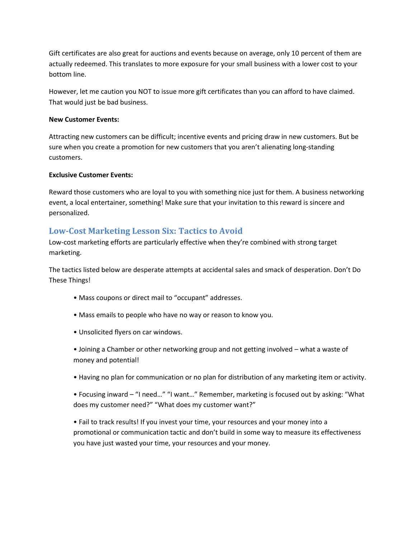Gift certificates are also great for auctions and events because on average, only 10 percent of them are actually redeemed. This translates to more exposure for your small business with a lower cost to your bottom line.

However, let me caution you NOT to issue more gift certificates than you can afford to have claimed. That would just be bad business.

### **New Customer Events:**

Attracting new customers can be difficult; incentive events and pricing draw in new customers. But be sure when you create a promotion for new customers that you aren't alienating long-standing customers.

### **Exclusive Customer Events:**

Reward those customers who are loyal to you with something nice just for them. A business networking event, a local entertainer, something! Make sure that your invitation to this reward is sincere and personalized.

# <span id="page-39-0"></span>**Low-Cost Marketing Lesson Six: Tactics to Avoid**

Low-cost marketing efforts are particularly effective when they're combined with strong target marketing.

The tactics listed below are desperate attempts at accidental sales and smack of desperation. Don't Do These Things!

- Mass coupons or direct mail to "occupant" addresses.
- Mass emails to people who have no way or reason to know you.
- Unsolicited flyers on car windows.
- Joining a Chamber or other networking group and not getting involved what a waste of money and potential!
- Having no plan for communication or no plan for distribution of any marketing item or activity.

• Focusing inward – "I need…" "I want…" Remember, marketing is focused out by asking: "What does my customer need?" "What does my customer want?"

• Fail to track results! If you invest your time, your resources and your money into a promotional or communication tactic and don't build in some way to measure its effectiveness you have just wasted your time, your resources and your money.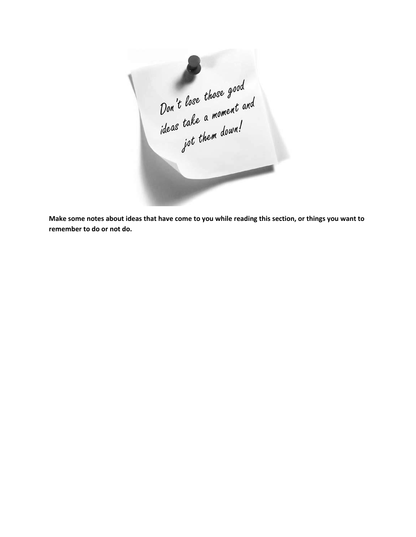Don't lose those good<br>Don't lose those good<br>ideas take a moment and<br>jot them down!

**Make some notes about ideas that have come to you while reading this section, or things you want to remember to do or not do.**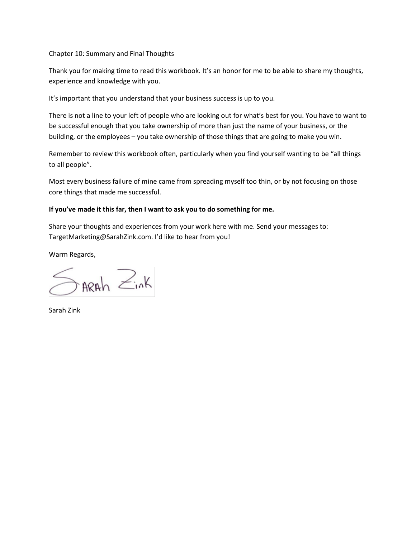Chapter 10: Summary and Final Thoughts

Thank you for making time to read this workbook. It's an honor for me to be able to share my thoughts, experience and knowledge with you.

It's important that you understand that your business success is up to you.

There is not a line to your left of people who are looking out for what's best for you. You have to want to be successful enough that you take ownership of more than just the name of your business, or the building, or the employees – you take ownership of those things that are going to make you win.

Remember to review this workbook often, particularly when you find yourself wanting to be "all things to all people".

Most every business failure of mine came from spreading myself too thin, or by not focusing on those core things that made me successful.

### **If you've made it this far, then I want to ask you to do something for me.**

Share your thoughts and experiences from your work here with me. Send your messages to: TargetMarketing@SarahZink.com. I'd like to hear from you!

Warm Regards,

 $\sum_{n\in\mathbb{N}}$ 

Sarah Zink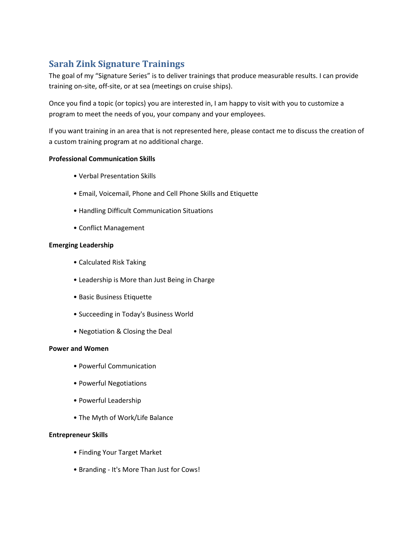# <span id="page-42-0"></span>**Sarah Zink Signature Trainings**

The goal of my "Signature Series" is to deliver trainings that produce measurable results. I can provide training on-site, off-site, or at sea (meetings on cruise ships).

Once you find a topic (or topics) you are interested in, I am happy to visit with you to customize a program to meet the needs of you, your company and your employees.

If you want training in an area that is not represented here, please contact me to discuss the creation of a custom training program at no additional charge.

#### **Professional Communication Skills**

- Verbal Presentation Skills
- Email, Voicemail, Phone and Cell Phone Skills and Etiquette
- Handling Difficult Communication Situations
- Conflict Management

#### **Emerging Leadership**

- Calculated Risk Taking
- Leadership is More than Just Being in Charge
- Basic Business Etiquette
- Succeeding in Today's Business World
- Negotiation & Closing the Deal

#### **Power and Women**

- Powerful Communication
- Powerful Negotiations
- Powerful Leadership
- The Myth of Work/Life Balance

#### **Entrepreneur Skills**

- Finding Your Target Market
- Branding It's More Than Just for Cows!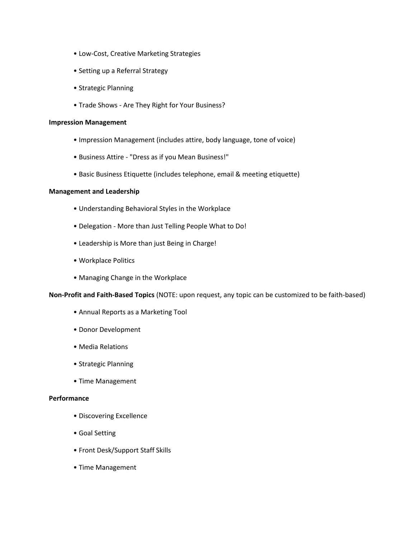- Low-Cost, Creative Marketing Strategies
- Setting up a Referral Strategy
- Strategic Planning
- Trade Shows Are They Right for Your Business?

#### **Impression Management**

- Impression Management (includes attire, body language, tone of voice)
- Business Attire "Dress as if you Mean Business!"
- Basic Business Etiquette (includes telephone, email & meeting etiquette)

#### **Management and Leadership**

- Understanding Behavioral Styles in the Workplace
- Delegation More than Just Telling People What to Do!
- Leadership is More than just Being in Charge!
- Workplace Politics
- Managing Change in the Workplace

**Non-Profit and Faith-Based Topics** (NOTE: upon request, any topic can be customized to be faith-based)

- Annual Reports as a Marketing Tool
- Donor Development
- Media Relations
- Strategic Planning
- Time Management

#### **Performance**

- Discovering Excellence
- Goal Setting
- Front Desk/Support Staff Skills
- Time Management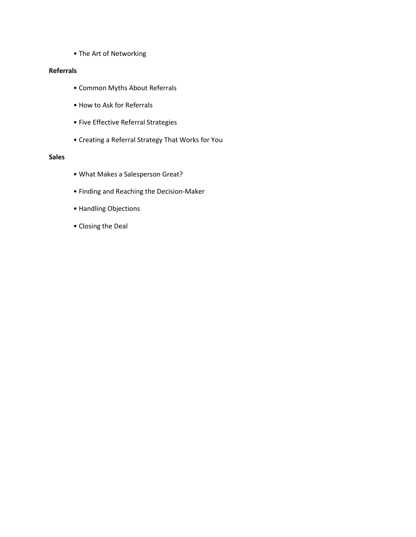• The Art of Networking

#### **Referrals**

- Common Myths About Referrals
- How to Ask for Referrals
- Five Effective Referral Strategies
- Creating a Referral Strategy That Works for You

### **Sales**

- What Makes a Salesperson Great?
- Finding and Reaching the Decision-Maker
- Handling Objections
- Closing the Deal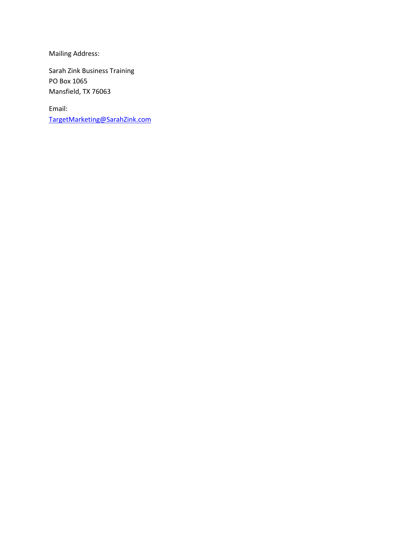Mailing Address:

Sarah Zink Business Training PO Box 1065 Mansfield, TX 76063

Email: [TargetMarketing@SarahZink.com](mailto:TargetMarketing@SarahZink.com)